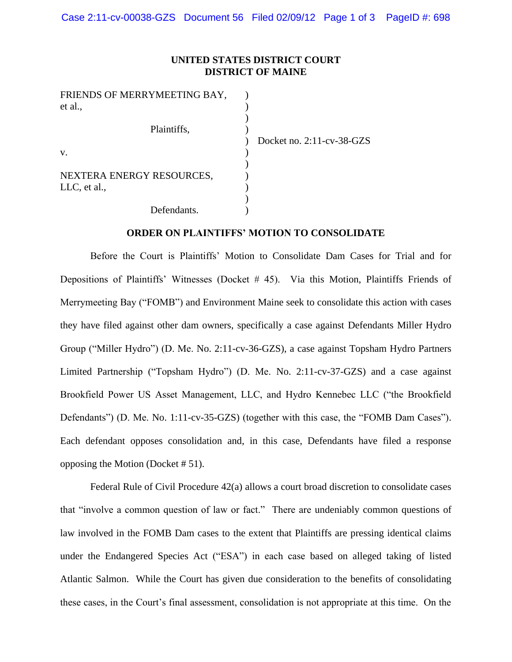## **UNITED STATES DISTRICT COURT DISTRICT OF MAINE**

| FRIENDS OF MERRYMEETING BAY,<br>et al., |                           |
|-----------------------------------------|---------------------------|
|                                         |                           |
| Plaintiffs,                             | Docket no. 2:11-cv-38-GZS |
| V.                                      |                           |
| NEXTERA ENERGY RESOURCES,               |                           |
| LLC, et al.,                            |                           |
| Defendants.                             |                           |

## **ORDER ON PLAINTIFFS' MOTION TO CONSOLIDATE**

Before the Court is Plaintiffs' Motion to Consolidate Dam Cases for Trial and for Depositions of Plaintiffs' Witnesses (Docket # 45). Via this Motion, Plaintiffs Friends of Merrymeeting Bay ("FOMB") and Environment Maine seek to consolidate this action with cases they have filed against other dam owners, specifically a case against Defendants Miller Hydro Group ("Miller Hydro") (D. Me. No. 2:11-cv-36-GZS), a case against Topsham Hydro Partners Limited Partnership ("Topsham Hydro") (D. Me. No. 2:11-cv-37-GZS) and a case against Brookfield Power US Asset Management, LLC, and Hydro Kennebec LLC ("the Brookfield Defendants") (D. Me. No. 1:11-cv-35-GZS) (together with this case, the "FOMB Dam Cases"). Each defendant opposes consolidation and, in this case, Defendants have filed a response opposing the Motion (Docket # 51).

Federal Rule of Civil Procedure 42(a) allows a court broad discretion to consolidate cases that "involve a common question of law or fact." There are undeniably common questions of law involved in the FOMB Dam cases to the extent that Plaintiffs are pressing identical claims under the Endangered Species Act ("ESA") in each case based on alleged taking of listed Atlantic Salmon. While the Court has given due consideration to the benefits of consolidating these cases, in the Court's final assessment, consolidation is not appropriate at this time. On the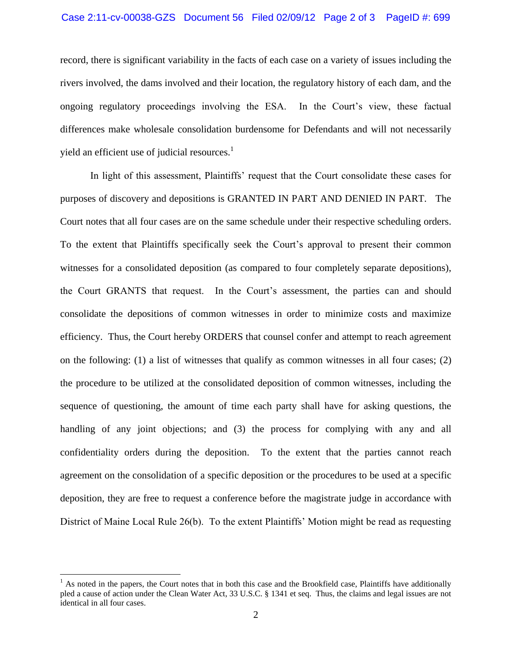## Case 2:11-cv-00038-GZS Document 56 Filed 02/09/12 Page 2 of 3 PageID #: 699

record, there is significant variability in the facts of each case on a variety of issues including the rivers involved, the dams involved and their location, the regulatory history of each dam, and the ongoing regulatory proceedings involving the ESA. In the Court's view, these factual differences make wholesale consolidation burdensome for Defendants and will not necessarily yield an efficient use of judicial resources. $<sup>1</sup>$ </sup>

In light of this assessment, Plaintiffs' request that the Court consolidate these cases for purposes of discovery and depositions is GRANTED IN PART AND DENIED IN PART. The Court notes that all four cases are on the same schedule under their respective scheduling orders. To the extent that Plaintiffs specifically seek the Court's approval to present their common witnesses for a consolidated deposition (as compared to four completely separate depositions), the Court GRANTS that request. In the Court's assessment, the parties can and should consolidate the depositions of common witnesses in order to minimize costs and maximize efficiency. Thus, the Court hereby ORDERS that counsel confer and attempt to reach agreement on the following: (1) a list of witnesses that qualify as common witnesses in all four cases; (2) the procedure to be utilized at the consolidated deposition of common witnesses, including the sequence of questioning, the amount of time each party shall have for asking questions, the handling of any joint objections; and (3) the process for complying with any and all confidentiality orders during the deposition. To the extent that the parties cannot reach agreement on the consolidation of a specific deposition or the procedures to be used at a specific deposition, they are free to request a conference before the magistrate judge in accordance with District of Maine Local Rule 26(b). To the extent Plaintiffs' Motion might be read as requesting

 $\overline{a}$ 

 $<sup>1</sup>$  As noted in the papers, the Court notes that in both this case and the Brookfield case, Plaintiffs have additionally</sup> pled a cause of action under the Clean Water Act, 33 U.S.C. § 1341 et seq. Thus, the claims and legal issues are not identical in all four cases.